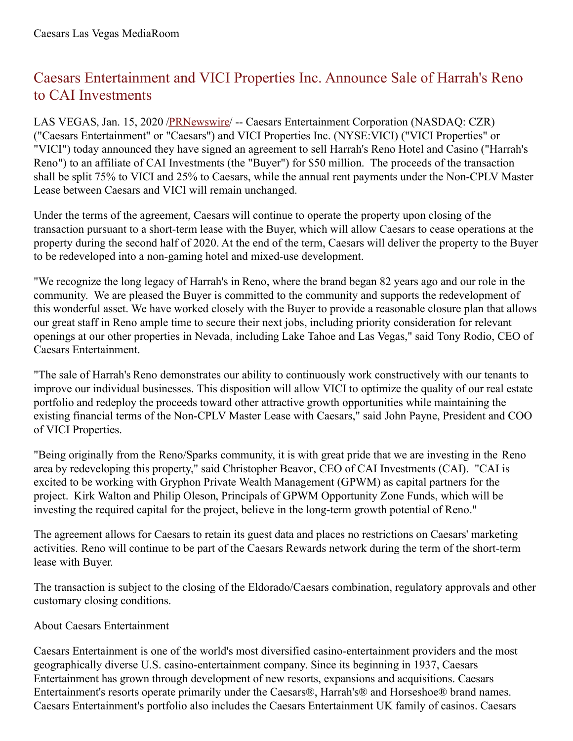# Caesars Entertainment and VICI Properties Inc. Announce Sale of Harrah's Reno to CAI Investments

LAS VEGAS, Jan. 15, 2020 /**PRNewswire/** -- Caesars Entertainment Corporation (NASDAQ: CZR) ("Caesars Entertainment" or "Caesars") and VICI Properties Inc. (NYSE:VICI) ("VICI Properties" or "VICI") today announced they have signed an agreement to sell Harrah's Reno Hotel and Casino ("Harrah's Reno") to an affiliate of CAI Investments (the "Buyer") for \$50 million. The proceeds of the transaction shall be split 75% to VICI and 25% to Caesars, while the annual rent payments under the Non-CPLV Master Lease between Caesars and VICI will remain unchanged.

Under the terms of the agreement, Caesars will continue to operate the property upon closing of the transaction pursuant to a short-term lease with the Buyer, which will allow Caesars to cease operations at the property during the second half of 2020. At the end of the term, Caesars will deliver the property to the Buyer to be redeveloped into a non-gaming hotel and mixed-use development.

"We recognize the long legacy of Harrah's in Reno, where the brand began 82 years ago and our role in the community. We are pleased the Buyer is committed to the community and supports the redevelopment of this wonderful asset. We have worked closely with the Buyer to provide a reasonable closure plan that allows our great staff in Reno ample time to secure their next jobs, including priority consideration for relevant openings at our other properties in Nevada, including Lake Tahoe and Las Vegas," said Tony Rodio, CEO of Caesars Entertainment.

"The sale of Harrah's Reno demonstrates our ability to continuously work constructively with our tenants to improve our individual businesses. This disposition will allow VICI to optimize the quality of our real estate portfolio and redeploy the proceeds toward other attractive growth opportunities while maintaining the existing financial terms of the Non-CPLV Master Lease with Caesars," said John Payne, President and COO of VICI Properties.

"Being originally from the Reno/Sparks community, it is with great pride that we are investing in the Reno area by redeveloping this property," said Christopher Beavor, CEO of CAI Investments (CAI). "CAI is excited to be working with Gryphon Private Wealth Management (GPWM) as capital partners for the project. Kirk Walton and Philip Oleson, Principals of GPWM Opportunity Zone Funds, which will be investing the required capital for the project, believe in the long-term growth potential of Reno."

The agreement allows for Caesars to retain its guest data and places no restrictions on Caesars' marketing activities. Reno will continue to be part of the Caesars Rewards network during the term of the short-term lease with Buyer.

The transaction is subject to the closing of the Eldorado/Caesars combination, regulatory approvals and other customary closing conditions.

## About Caesars Entertainment

Caesars Entertainment is one of the world's most diversified casino-entertainment providers and the most geographically diverse U.S. casino-entertainment company. Since its beginning in 1937, Caesars Entertainment has grown through development of new resorts, expansions and acquisitions. Caesars Entertainment's resorts operate primarily under the Caesars®, Harrah's® and Horseshoe® brand names. Caesars Entertainment's portfolio also includes the Caesars Entertainment UK family of casinos. Caesars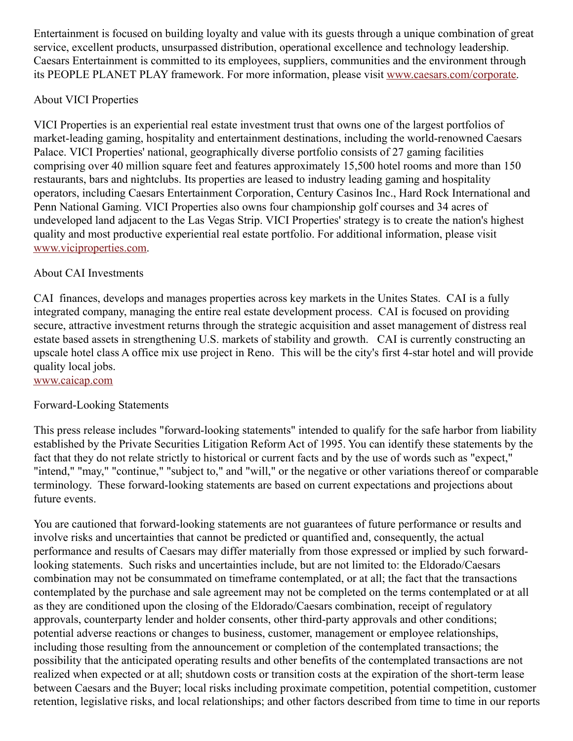Entertainment is focused on building loyalty and value with its guests through a unique combination of great service, excellent products, unsurpassed distribution, operational excellence and technology leadership. Caesars Entertainment is committed to its employees, suppliers, communities and the environment through its PEOPLE PLANET PLAY framework. For more information, please visit [www.caesars.com/corporate.](https://c212.net/c/link/?t=0&l=en&o=2693812-1&h=2448112825&u=http%3A%2F%2Fwww.caesars.com%2Fcorporate&a=www.caesars.com%2Fcorporate)

#### About VICI Properties

VICI Properties is an experiential real estate investment trust that owns one of the largest portfolios of market-leading gaming, hospitality and entertainment destinations, including the world-renowned Caesars Palace. VICI Properties' national, geographically diverse portfolio consists of 27 gaming facilities comprising over 40 million square feet and features approximately 15,500 hotel rooms and more than 150 restaurants, bars and nightclubs. Its properties are leased to industry leading gaming and hospitality operators, including Caesars Entertainment Corporation, Century Casinos Inc., Hard Rock International and Penn National Gaming. VICI Properties also owns four championship golf courses and 34 acres of undeveloped land adjacent to the Las Vegas Strip. VICI Properties' strategy is to create the nation's highest quality and most productive experiential real estate portfolio. For additional information, please visit [www.viciproperties.com](https://c212.net/c/link/?t=0&l=en&o=2693812-1&h=3466844624&u=http%3A%2F%2Fcts.businesswire.com%2Fct%2FCT%3Fid%3Dsmartlink%26url%3Dhttp%253A%252F%252Fwww.viciproperties.com%26esheet%3D51803394%26newsitemid%3D20180509005447%26lan%3Den-US%26anchor%3Dwww.viciproperties.com%26index%3D2%26md5%3D794e6774be90e65048bf178d39279a92&a=www.viciproperties.com).

### About CAI Investments

CAI finances, develops and manages properties across key markets in the Unites States. CAI is a fully integrated company, managing the entire real estate development process. CAI is focused on providing secure, attractive investment returns through the strategic acquisition and asset management of distress real estate based assets in strengthening U.S. markets of stability and growth. CAI is currently constructing an upscale hotel class A office mix use project in Reno. This will be the city's first 4-star hotel and will provide quality local jobs.

[www.caicap.com](https://c212.net/c/link/?t=0&l=en&o=2693812-1&h=2582592844&u=http%3A%2F%2Fwww.caicap.com%2F&a=www.caicap.com)

#### Forward-Looking Statements

This press release includes "forward-looking statements" intended to qualify for the safe harbor from liability established by the Private Securities Litigation Reform Act of 1995. You can identify these statements by the fact that they do not relate strictly to historical or current facts and by the use of words such as "expect," "intend," "may," "continue," "subject to," and "will," or the negative or other variations thereof or comparable terminology. These forward-looking statements are based on current expectations and projections about future events.

You are cautioned that forward-looking statements are not guarantees of future performance or results and involve risks and uncertainties that cannot be predicted or quantified and, consequently, the actual performance and results of Caesars may differ materially from those expressed or implied by such forwardlooking statements. Such risks and uncertainties include, but are not limited to: the Eldorado/Caesars combination may not be consummated on timeframe contemplated, or at all; the fact that the transactions contemplated by the purchase and sale agreement may not be completed on the terms contemplated or at all as they are conditioned upon the closing of the Eldorado/Caesars combination, receipt of regulatory approvals, counterparty lender and holder consents, other third-party approvals and other conditions; potential adverse reactions or changes to business, customer, management or employee relationships, including those resulting from the announcement or completion of the contemplated transactions; the possibility that the anticipated operating results and other benefits of the contemplated transactions are not realized when expected or at all; shutdown costs or transition costs at the expiration of the short-term lease between Caesars and the Buyer; local risks including proximate competition, potential competition, customer retention, legislative risks, and local relationships; and other factors described from time to time in our reports